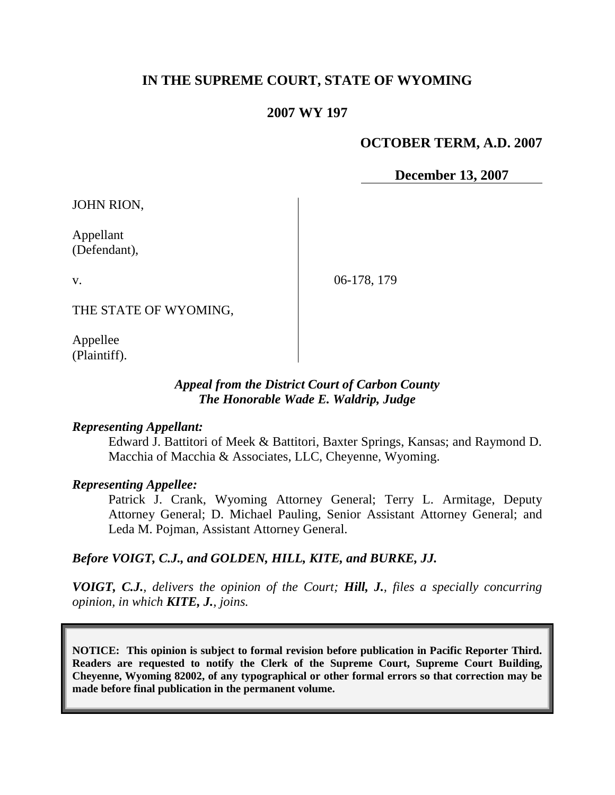# **IN THE SUPREME COURT, STATE OF WYOMING**

### **2007 WY 197**

### **OCTOBER TERM, A.D. 2007**

**December 13, 2007**

JOHN RION,

Appellant (Defendant),

v.

06-178, 179

THE STATE OF WYOMING,

Appellee (Plaintiff).

### *Appeal from the District Court of Carbon County The Honorable Wade E. Waldrip, Judge*

#### *Representing Appellant:*

Edward J. Battitori of Meek & Battitori, Baxter Springs, Kansas; and Raymond D. Macchia of Macchia & Associates, LLC, Cheyenne, Wyoming.

#### *Representing Appellee:*

Patrick J. Crank, Wyoming Attorney General; Terry L. Armitage, Deputy Attorney General; D. Michael Pauling, Senior Assistant Attorney General; and Leda M. Pojman, Assistant Attorney General.

#### *Before VOIGT, C.J., and GOLDEN, HILL, KITE, and BURKE, JJ.*

*VOIGT, C.J., delivers the opinion of the Court; Hill, J., files a specially concurring opinion, in which KITE, J., joins.*

**NOTICE: This opinion is subject to formal revision before publication in Pacific Reporter Third. Readers are requested to notify the Clerk of the Supreme Court, Supreme Court Building, Cheyenne, Wyoming 82002, of any typographical or other formal errors so that correction may be made before final publication in the permanent volume.**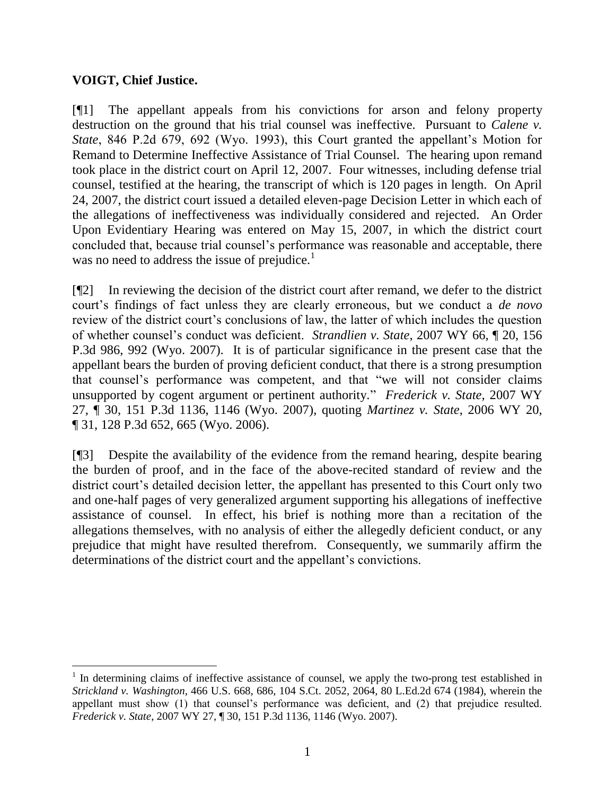# **VOIGT, Chief Justice.**

 $\overline{a}$ 

[¶1] The appellant appeals from his convictions for arson and felony property destruction on the ground that his trial counsel was ineffective. Pursuant to *Calene v. State*, 846 P.2d 679, 692 (Wyo. 1993), this Court granted the appellant's Motion for Remand to Determine Ineffective Assistance of Trial Counsel. The hearing upon remand took place in the district court on April 12, 2007. Four witnesses, including defense trial counsel, testified at the hearing, the transcript of which is 120 pages in length. On April 24, 2007, the district court issued a detailed eleven-page Decision Letter in which each of the allegations of ineffectiveness was individually considered and rejected. An Order Upon Evidentiary Hearing was entered on May 15, 2007, in which the district court concluded that, because trial counsel's performance was reasonable and acceptable, there was no need to address the issue of prejudice.<sup>1</sup>

[¶2] In reviewing the decision of the district court after remand, we defer to the district court's findings of fact unless they are clearly erroneous, but we conduct a *de novo* review of the district court's conclusions of law, the latter of which includes the question of whether counsel's conduct was deficient. *Strandlien v. State*, 2007 WY 66, ¶ 20, 156 P.3d 986, 992 (Wyo. 2007). It is of particular significance in the present case that the appellant bears the burden of proving deficient conduct, that there is a strong presumption that counsel's performance was competent, and that "we will not consider claims unsupported by cogent argument or pertinent authority." *Frederick v. State*, 2007 WY 27, ¶ 30, 151 P.3d 1136, 1146 (Wyo. 2007), quoting *Martinez v. State*, 2006 WY 20, ¶ 31, 128 P.3d 652, 665 (Wyo. 2006).

[¶3] Despite the availability of the evidence from the remand hearing, despite bearing the burden of proof, and in the face of the above-recited standard of review and the district court's detailed decision letter, the appellant has presented to this Court only two and one-half pages of very generalized argument supporting his allegations of ineffective assistance of counsel. In effect, his brief is nothing more than a recitation of the allegations themselves, with no analysis of either the allegedly deficient conduct, or any prejudice that might have resulted therefrom. Consequently, we summarily affirm the determinations of the district court and the appellant's convictions.

<sup>&</sup>lt;sup>1</sup> In determining claims of ineffective assistance of counsel, we apply the two-prong test established in *Strickland v. Washington*, 466 U.S. 668, 686, 104 S.Ct. 2052, 2064, 80 L.Ed.2d 674 (1984), wherein the appellant must show (1) that counsel's performance was deficient, and (2) that prejudice resulted. *Frederick v. State*, 2007 WY 27, ¶ 30, 151 P.3d 1136, 1146 (Wyo. 2007).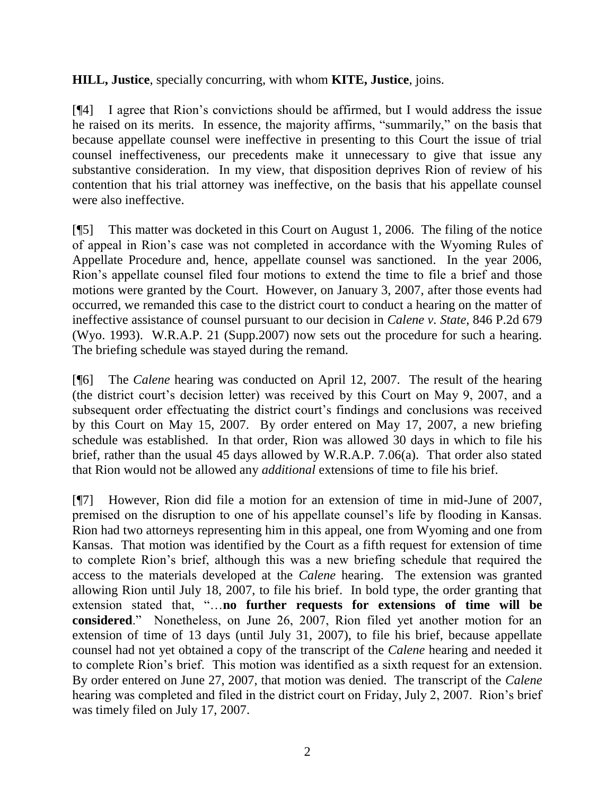# **HILL, Justice**, specially concurring, with whom **KITE, Justice**, joins.

[¶4] I agree that Rion's convictions should be affirmed, but I would address the issue he raised on its merits. In essence, the majority affirms, "summarily," on the basis that because appellate counsel were ineffective in presenting to this Court the issue of trial counsel ineffectiveness, our precedents make it unnecessary to give that issue any substantive consideration. In my view, that disposition deprives Rion of review of his contention that his trial attorney was ineffective, on the basis that his appellate counsel were also ineffective.

[¶5] This matter was docketed in this Court on August 1, 2006. The filing of the notice of appeal in Rion's case was not completed in accordance with the Wyoming Rules of Appellate Procedure and, hence, appellate counsel was sanctioned. In the year 2006, Rion's appellate counsel filed four motions to extend the time to file a brief and those motions were granted by the Court. However, on January 3, 2007, after those events had occurred, we remanded this case to the district court to conduct a hearing on the matter of ineffective assistance of counsel pursuant to our decision in *Calene v. State*, 846 P.2d 679 (Wyo. 1993). W.R.A.P. 21 (Supp.2007) now sets out the procedure for such a hearing. The briefing schedule was stayed during the remand.

[¶6] The *Calene* hearing was conducted on April 12, 2007. The result of the hearing (the district court's decision letter) was received by this Court on May 9, 2007, and a subsequent order effectuating the district court's findings and conclusions was received by this Court on May 15, 2007. By order entered on May 17, 2007, a new briefing schedule was established. In that order, Rion was allowed 30 days in which to file his brief, rather than the usual 45 days allowed by W.R.A.P. 7.06(a). That order also stated that Rion would not be allowed any *additional* extensions of time to file his brief.

[¶7] However, Rion did file a motion for an extension of time in mid-June of 2007, premised on the disruption to one of his appellate counsel's life by flooding in Kansas. Rion had two attorneys representing him in this appeal, one from Wyoming and one from Kansas. That motion was identified by the Court as a fifth request for extension of time to complete Rion's brief, although this was a new briefing schedule that required the access to the materials developed at the *Calene* hearing. The extension was granted allowing Rion until July 18, 2007, to file his brief. In bold type, the order granting that extension stated that, "…**no further requests for extensions of time will be considered**." Nonetheless, on June 26, 2007, Rion filed yet another motion for an extension of time of 13 days (until July 31, 2007), to file his brief, because appellate counsel had not yet obtained a copy of the transcript of the *Calene* hearing and needed it to complete Rion's brief. This motion was identified as a sixth request for an extension. By order entered on June 27, 2007, that motion was denied. The transcript of the *Calene* hearing was completed and filed in the district court on Friday, July 2, 2007. Rion's brief was timely filed on July 17, 2007.